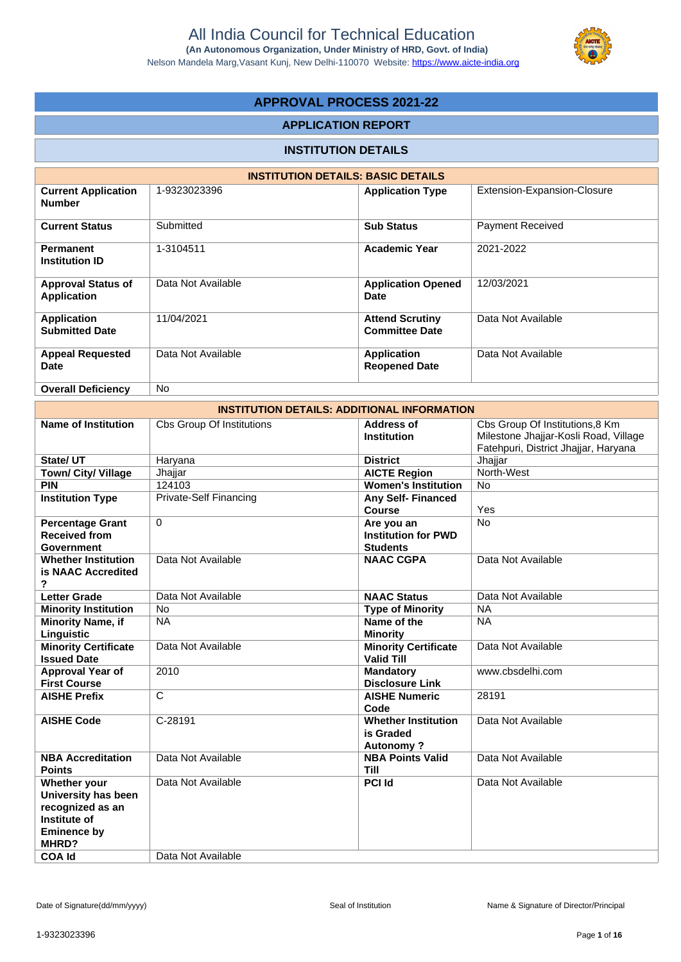Nelson Mandela Marg,Vasant Kunj, New Delhi-110070 Website:<https://www.aicte-india.org>



# **APPROVAL PROCESS 2021-22**

### **APPLICATION REPORT**

## **INSTITUTION DETAILS**

|                                                 | <b>INSTITUTION DETAILS: BASIC DETAILS</b> |                                                 |                             |
|-------------------------------------------------|-------------------------------------------|-------------------------------------------------|-----------------------------|
| <b>Current Application</b><br><b>Number</b>     | 1-9323023396                              | <b>Application Type</b>                         | Extension-Expansion-Closure |
| <b>Current Status</b>                           | Submitted                                 | <b>Sub Status</b>                               | <b>Payment Received</b>     |
| <b>Permanent</b><br><b>Institution ID</b>       | 1-3104511                                 | <b>Academic Year</b>                            | 2021-2022                   |
| <b>Approval Status of</b><br><b>Application</b> | Data Not Available                        | <b>Application Opened</b><br>Date               | 12/03/2021                  |
| <b>Application</b><br><b>Submitted Date</b>     | 11/04/2021                                | <b>Attend Scrutiny</b><br><b>Committee Date</b> | Data Not Available          |
| <b>Appeal Requested</b><br><b>Date</b>          | Data Not Available                        | <b>Application</b><br><b>Reopened Date</b>      | Data Not Available          |
| <b>Overall Deficiency</b>                       | No.                                       |                                                 |                             |

|                                                                                                                         | <b>INSTITUTION DETAILS: ADDITIONAL INFORMATION</b> |                                                             |                                                                                                                  |
|-------------------------------------------------------------------------------------------------------------------------|----------------------------------------------------|-------------------------------------------------------------|------------------------------------------------------------------------------------------------------------------|
| <b>Name of Institution</b>                                                                                              | <b>Cbs Group Of Institutions</b>                   | <b>Address of</b><br><b>Institution</b>                     | Cbs Group Of Institutions, 8 Km<br>Milestone Jhajjar-Kosli Road, Village<br>Fatehpuri, District Jhajjar, Haryana |
| State/ UT                                                                                                               | Haryana                                            | <b>District</b>                                             | Jhajjar                                                                                                          |
| Town/ City/ Village                                                                                                     | Jhajjar                                            | <b>AICTE Region</b>                                         | North-West                                                                                                       |
| <b>PIN</b>                                                                                                              | 124103                                             | <b>Women's Institution</b>                                  | <b>No</b>                                                                                                        |
| <b>Institution Type</b>                                                                                                 | <b>Private-Self Financing</b>                      | <b>Any Self-Financed</b><br><b>Course</b>                   | Yes                                                                                                              |
| <b>Percentage Grant</b><br><b>Received from</b><br><b>Government</b>                                                    | 0                                                  | Are you an<br><b>Institution for PWD</b><br><b>Students</b> | <b>No</b>                                                                                                        |
| <b>Whether Institution</b><br>is NAAC Accredited<br>?                                                                   | Data Not Available                                 | <b>NAAC CGPA</b>                                            | Data Not Available                                                                                               |
| <b>Letter Grade</b>                                                                                                     | Data Not Available                                 | <b>NAAC Status</b>                                          | Data Not Available                                                                                               |
| <b>Minority Institution</b>                                                                                             | No                                                 | <b>Type of Minority</b>                                     | <b>NA</b>                                                                                                        |
| <b>Minority Name, if</b><br>Linguistic                                                                                  | <b>NA</b>                                          | Name of the<br><b>Minority</b>                              | <b>NA</b>                                                                                                        |
| <b>Minority Certificate</b><br><b>Issued Date</b>                                                                       | Data Not Available                                 | <b>Minority Certificate</b><br><b>Valid Till</b>            | Data Not Available                                                                                               |
| <b>Approval Year of</b><br><b>First Course</b>                                                                          | 2010                                               | <b>Mandatory</b><br><b>Disclosure Link</b>                  | www.cbsdelhi.com                                                                                                 |
| <b>AISHE Prefix</b>                                                                                                     | $\overline{\mathrm{c}}$                            | <b>AISHE Numeric</b><br>Code                                | 28191                                                                                                            |
| <b>AISHE Code</b>                                                                                                       | C-28191                                            | <b>Whether Institution</b><br>is Graded<br><b>Autonomy?</b> | Data Not Available                                                                                               |
| <b>NBA Accreditation</b><br><b>Points</b>                                                                               | Data Not Available                                 | <b>NBA Points Valid</b><br><b>Till</b>                      | Data Not Available                                                                                               |
| Whether your<br>University has been<br>recognized as an<br>Institute of<br><b>Eminence by</b><br>MHRD?<br><b>COA Id</b> | Data Not Available<br>Data Not Available           | <b>PCI Id</b>                                               | Data Not Available                                                                                               |
|                                                                                                                         |                                                    |                                                             |                                                                                                                  |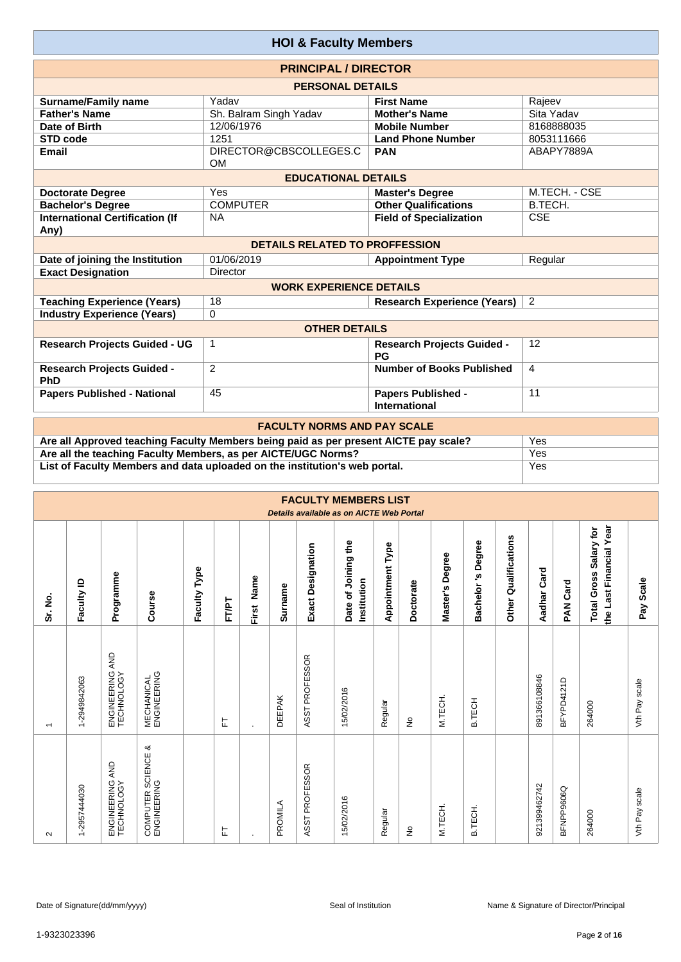|                                                | <b>HOI &amp; Faculty Members</b>      |                                            |                |
|------------------------------------------------|---------------------------------------|--------------------------------------------|----------------|
|                                                | <b>PRINCIPAL / DIRECTOR</b>           |                                            |                |
|                                                | <b>PERSONAL DETAILS</b>               |                                            |                |
| <b>Surname/Family name</b>                     | Yadav                                 | <b>First Name</b>                          | Rajeev         |
| <b>Father's Name</b>                           | Sh. Balram Singh Yadav                | <b>Mother's Name</b>                       | Sita Yadav     |
| Date of Birth                                  | 12/06/1976                            | <b>Mobile Number</b>                       | 8168888035     |
| STD code                                       | 1251                                  | <b>Land Phone Number</b>                   | 8053111666     |
| <b>Email</b>                                   | DIRECTOR@CBSCOLLEGES.C<br><b>OM</b>   | <b>PAN</b>                                 | ABAPY7889A     |
|                                                | <b>EDUCATIONAL DETAILS</b>            |                                            |                |
| <b>Doctorate Degree</b>                        | Yes                                   | <b>Master's Degree</b>                     | M.TECH. - CSE  |
| <b>Bachelor's Degree</b>                       | <b>COMPUTER</b>                       | <b>Other Qualifications</b>                | B.TECH.        |
| <b>International Certification (If</b><br>Any) | <b>NA</b>                             | <b>Field of Specialization</b>             | <b>CSE</b>     |
|                                                | <b>DETAILS RELATED TO PROFFESSION</b> |                                            |                |
| Date of joining the Institution                | 01/06/2019                            | <b>Appointment Type</b>                    | Regular        |
| <b>Exact Designation</b>                       | Director                              |                                            |                |
|                                                | <b>WORK EXPERIENCE DETAILS</b>        |                                            |                |
| <b>Teaching Experience (Years)</b>             | 18                                    | <b>Research Experience (Years)</b>         | $\overline{2}$ |
| <b>Industry Experience (Years)</b>             | $\Omega$                              |                                            |                |
|                                                | <b>OTHER DETAILS</b>                  |                                            |                |
| <b>Research Projects Guided - UG</b>           | $\mathbf{1}$                          | <b>Research Projects Guided -</b><br>PG    | 12             |
| <b>Research Projects Guided -</b><br>PhD       | $\overline{2}$                        | <b>Number of Books Published</b>           | 4              |
| <b>Papers Published - National</b>             | 45                                    | Papers Published -<br><b>International</b> | 11             |
|                                                | <b>FACULTY NORMS AND PAY SCALE</b>    |                                            |                |

| <b>FAUULIT NURMS AND PAT SUALE</b>                                                   |     |
|--------------------------------------------------------------------------------------|-----|
| Are all Approved teaching Faculty Members being paid as per present AICTE pay scale? | Yes |
| Are all the teaching Faculty Members, as per AICTE/UGC Norms?                        | Yes |
| List of Faculty Members and data uploaded on the institution's web portal.           | Yes |

|         |              |                                  |                                      |              |       |            |               |                   | <b>FACULTY MEMBERS LIST</b><br>Details available as on AICTE Web Portal |                         |             |                    |                      |                         |              |                 |                                                   |               |
|---------|--------------|----------------------------------|--------------------------------------|--------------|-------|------------|---------------|-------------------|-------------------------------------------------------------------------|-------------------------|-------------|--------------------|----------------------|-------------------------|--------------|-----------------|---------------------------------------------------|---------------|
| Sr. No. | Faculty ID   | Programme                        | Course                               | Faculty Type | FT/PT | First Name | Surname       | Exact Designation | Date of Joining the<br>Institution                                      | <b>Appointment Type</b> | Doctorate   | Degree<br>Master's | Degree<br>Bachelor's | Qualifications<br>Other | Aadhar Card  | <b>PAN Card</b> | the Last Financial Year<br>Total Gross Salary for | Pay Scale     |
|         | 1-2949842063 | AND<br>ENGINEERING<br>TECHNOLOGY | <b>MECHANICAL</b><br>ENGINEERING     |              | 는     | $\cdot$    | <b>DEEPAK</b> | ASST PROFESSOR    | 15/02/2016                                                              | Regular                 | $\tilde{z}$ | M.TECH.            | B.TECH               |                         | 891366108846 | BFYPD4121D      | 264000                                            | Vth Pay scale |
| $\sim$  | 1-2957444030 | AND<br>ENGINEERING<br>TECHNOLOGY | య<br>COMPUTER SCIENCE<br>ENGINEERING |              | ᄂ     |            | PROMILA       | ASST PROFESSOR    | 15/02/2016                                                              | Regular                 | ş           | M.TECH.            | B.TECH.              |                         | 921399462742 | BFNPP9606Q      | 264000                                            | Vth Pay scale |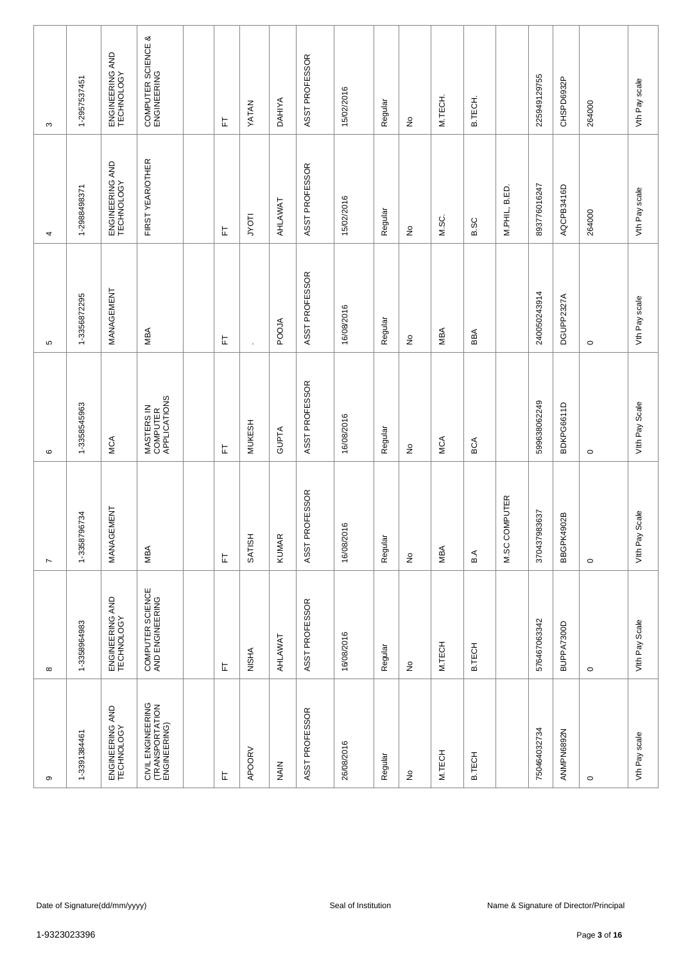| $\sigma$                                             | $\infty$                            | $\overline{\phantom{a}}$   | $\mathbf  \omega$                      | 5                          | 4                             | $\infty$                          |
|------------------------------------------------------|-------------------------------------|----------------------------|----------------------------------------|----------------------------|-------------------------------|-----------------------------------|
| 1-3391384461                                         | 1-3358964983                        | 1-3358796734               | 1-3358545963                           | 1-3356872295               | 1-2988498371                  | 1-2957537451                      |
| ENGINEERING AND<br>TECHNOLOGY                        | ENGINEERING AND<br>TECHNOLOGY       | MANAGEMENT                 | MCA                                    | MANAGEMENT                 | ENGINEERING AND<br>TECHNOLOGY | ENGINEERING AND<br>TECHNOLOGY     |
| CIVIL ENGINEERING<br>(TRANSPORTATION<br>ENGINEERING) | COMPUTER SCIENCE<br>AND ENGINEERING | MBA                        | MASTERS IN<br>COMPUTER<br>APPLICATIONS | MBA                        | FIRST YEAR/OTHER              | COMPUTER SCIENCE &<br>ENGINEERING |
|                                                      |                                     |                            |                                        |                            |                               |                                   |
| 匸                                                    | 눈                                   | 뉸                          | 匸                                      | 눈                          | 는                             | 匸                                 |
| APOORV                                               | <b>NISHA</b>                        | SATISH                     | <b>MUKESH</b>                          | $\ddot{\phantom{0}}$       | <b>ILOAN</b>                  | YATAN                             |
| NAIN                                                 | AHLAWAT                             | <b>KUMAR</b>               | <b>GUPTA</b>                           | POOJA                      | AHLAWAT                       | <b>DAHIYA</b>                     |
| ASST PROFESSOR                                       | ASST PROFESSOR                      | ASST PROFESSOR             | ASST PROFESSOR                         | ASST PROFESSOR             | ASST PROFESSOR                | ASST PROFESSOR                    |
| 26/08/2016                                           | 16/08/2016                          | 16/08/2016                 | 16/08/2016                             | 16/08/2016                 | 15/02/2016                    | 15/02/2016                        |
| Regular                                              | Regular                             | Regular                    | Regular                                | Regular                    | Regular                       | Regular                           |
| $\frac{\circ}{\sim}$                                 | ş                                   | $\stackrel{\mathtt{o}}{z}$ | $\hat{\mathsf{z}}$                     | $\stackrel{\circ}{\simeq}$ | $\stackrel{\mathtt{o}}{z}$    | $\frac{\circ}{\sim}$              |
| M.TECH                                               | M.TECH                              | MBA                        | MCA                                    | MBA                        | M.SC.                         | M.TECH.                           |
| <b>B.TECH</b>                                        | <b>B.TECH</b>                       | B.A                        | BCA                                    | BBA                        | <b>B.SC</b>                   | B.TECH.                           |
|                                                      |                                     | M.SC COMPUTER              |                                        |                            | M.PHIL, B.ED.                 |                                   |
| 750464032734                                         | 576467063342                        | 370437983637               | 599638062249                           | 240050243914               | 893776016247                  | 225949129755                      |
| ANMPN6892N                                           | BUPPA7300D                          | BBGPK4902B                 | BDKPG6611D                             | DGUPP2327A                 | AQCPB3416D                    | CHSPD6932P                        |
| $\circ$                                              | $\circ$                             | $\circ$                    | $\circ$                                | $\circ$                    | 264000                        | 264000                            |
| Vth Pay scale                                        | Vith Pay Scale                      | Scale<br>Vith Pay          | Vith Pay Scale                         | Vth Pay scale              | Vth Pay scale                 | Vth Pay scale                     |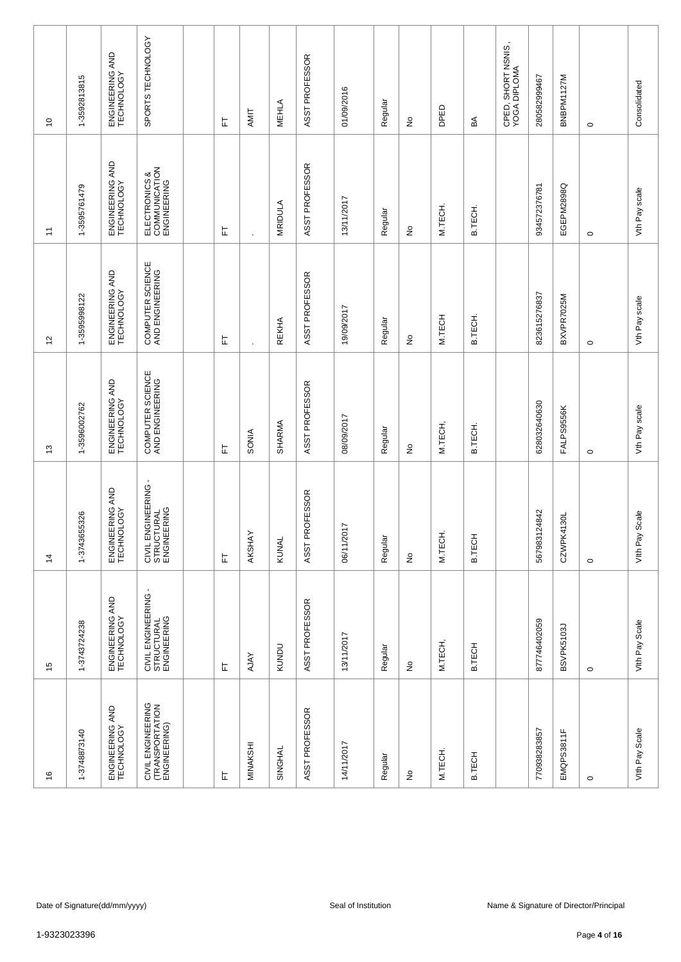| $\frac{6}{5}$                                        | 15                                               | $\dot{z}$                                        | 13                                  | $\frac{1}{2}$                       | $\overline{1}$                                | $\tilde{c}$                        |
|------------------------------------------------------|--------------------------------------------------|--------------------------------------------------|-------------------------------------|-------------------------------------|-----------------------------------------------|------------------------------------|
| 1-3748873140                                         | 1-3743724238                                     | 1-3743655326                                     | 1-3596002762                        | 1-3595998122                        | 1-3595761479                                  | 1-3592813815                       |
| ENGINEERING AND<br>TECHNOLOGY                        | ENGINEERING AND<br>TECHNOLOGY                    | ENGINEERING AND<br>TECHNOLOGY                    | ENGINEERING AND<br>TECHNOLOGY       | ENGINEERING AND<br>TECHNOLOGY       | ENGINEERING AND<br>TECHNOLOGY                 | ENGINEERING AND<br>TECHNOLOGY      |
| CIVIL ENGINEERING<br>(TRANSPORTATION<br>ENGINEERING) | CIVIL ENGINEERING -<br>STRUCTURAL<br>ENGINEERING | CIVIL ENGINEERING -<br>STRUCTURAL<br>ENGINEERING | COMPUTER SCIENCE<br>AND ENGINEERING | COMPUTER SCIENCE<br>AND ENGINEERING | ELECTRONICS &<br>COMMUNICATION<br>ENGINEERING | SPORTS TECHNOLOGY                  |
|                                                      |                                                  |                                                  |                                     |                                     |                                               |                                    |
| 匸                                                    | 눈                                                | 눈                                                | 匸                                   | 눈                                   | 는                                             | 匸                                  |
| MINAKSHI                                             | <b>AJAY</b>                                      | AKSHAY                                           | SONIA                               |                                     |                                               | AMIT                               |
| SINGHAL                                              | KUNDU                                            | KUNAL                                            | SHARMA                              | <b>REKHA</b>                        | MRIDULA                                       | <b>MEHLA</b>                       |
| ASST PROFESSOR                                       | ASST PROFESSOR                                   | ASST PROFESSOR                                   | ASST PROFESSOR                      | ASST PROFESSOR                      | ASST PROFESSOR                                | ASST PROFESSOR                     |
| 14/11/2017                                           | 13/11/2017                                       | 06/11/2017                                       | 08/09/2017                          | 19/09/2017                          | 13/11/2017                                    | 01/09/2016                         |
| Regular                                              | Regular                                          | Regular                                          | Regular                             | Regular                             | Regular                                       | Regular                            |
| ş                                                    | ş                                                | ş                                                | ş                                   | $\hat{\mathsf{z}}$                  | $\stackrel{\mathtt{o}}{z}$                    | $\frac{\mathsf{O}}{\mathsf{E}}$    |
| M.TECH.                                              | M.TECH,                                          | M.TECH.                                          | M.TECH,                             | M.TECH                              | M.TECH.                                       | DPED                               |
| <b>B.TECH</b>                                        | B.TECH                                           | B.TECH                                           | B.TECH.                             | B.TECH.                             | B.TECH.                                       | ₹                                  |
|                                                      |                                                  |                                                  |                                     |                                     |                                               | CPED, SHORT NSNIS,<br>YOGA DIPLOMA |
| 770938283857                                         | 877746402059                                     | 567983124842                                     | 628032640630                        | 823615276837                        | 934572376781                                  | 280582999467                       |
| EMQPS3811F                                           | BSVPK5103J                                       | CZWPK4130L                                       | FALPS9556K                          | BXVPR7025M                          | EGEPM2898Q                                    | BNBPM1127M                         |
| $\circ$                                              | $\circ$                                          | $\circ$                                          | $\circ$                             | $\circ$                             | $\circ$                                       | $\circ$                            |
| Vith Pay Scale                                       | Vith Pay Scale                                   | Scale<br>Vith Pay                                | Vth Pay scale                       | Vth Pay scale                       | Vth Pay scale                                 | Consolidated                       |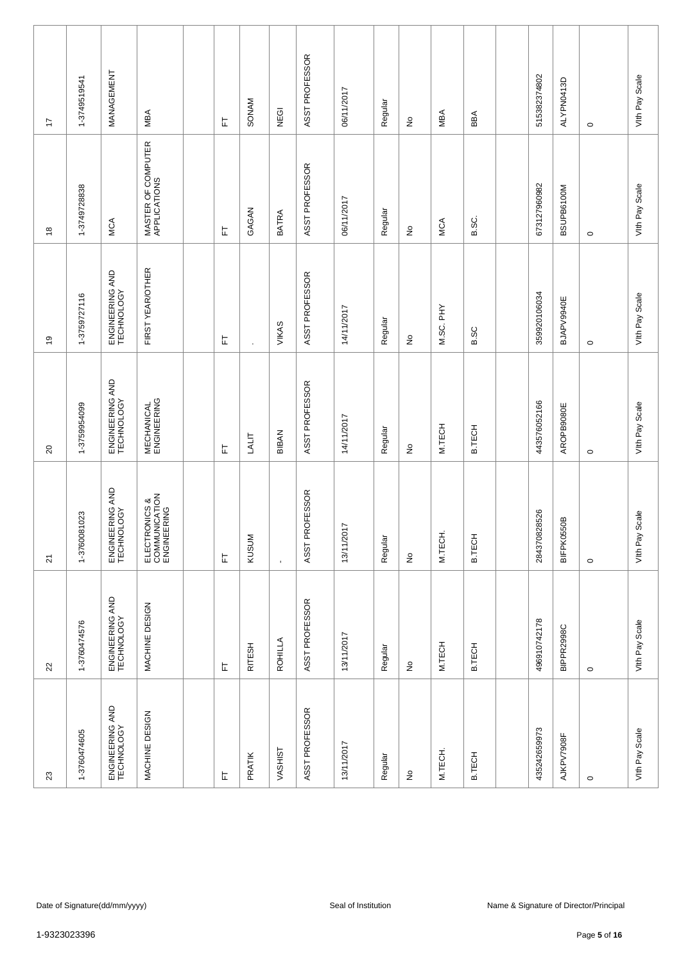| $23\,$                        | $22\,$                        | $\overline{\mathsf{S}}$                       | $\Omega$                         | $\overline{6}$                | $\overset{\circ}{\phantom{a}}$     | 17                   |
|-------------------------------|-------------------------------|-----------------------------------------------|----------------------------------|-------------------------------|------------------------------------|----------------------|
| 1-3760474605                  | 1-3760474576                  | 1-3760081023                                  | 1-3759954099                     | 1-3759727116                  | 1-3749728838                       | 1-3749519541         |
| ENGINEERING AND<br>TECHNOLOGY | ENGINEERING AND<br>TECHNOLOGY | ENGINEERING AND<br>TECHNOLOGY                 | ENGINEERING AND<br>TECHNOLOGY    | ENGINEERING AND<br>TECHNOLOGY | <b>MCA</b>                         | MANAGEMENT           |
| MACHINE DESIGN                | MACHINE DESIGN                | ELECTRONICS &<br>COMMUNICATION<br>ENGINEERING | <b>MECHANICAL</b><br>ENGINEERING | FIRST YEAR/OTHER              | MASTER OF COMPUTER<br>APPLICATIONS | MBA                  |
|                               |                               |                                               |                                  |                               |                                    |                      |
| 上                             | 上                             | 上                                             | 匸                                | 上                             | 岀                                  | 匸                    |
| PRATIK                        | RITESH                        | KUSUM                                         | LALIT                            |                               | GAGAN                              | SONAM                |
| VASHIST                       | ROHILLA                       | $\blacksquare$                                | BIBAN                            | VIKAS                         | <b>BATRA</b>                       | NEGI                 |
| ASST PROFESSOR                | ASST PROFESSOR                | ASST PROFESSOR                                | ASST PROFESSOR                   | ASST PROFESSOR                | ASST PROFESSOR                     | ASST PROFESSOR       |
| 13/11/2017                    | 13/11/2017                    | 13/11/2017                                    | 14/11/2017                       | 14/11/2017                    | 06/11/2017                         | 06/11/2017           |
| Regular                       | Regular                       | Regular                                       | Regular                          | Regular                       | Regular                            | Regular              |
| $\frac{\circ}{\sim}$          | $\frac{\circ}{\sim}$          | $\stackrel{\mathtt{o}}{z}$                    | $\frac{\mathsf{O}}{\mathsf{D}}$  | $\stackrel{\mathtt{o}}{z}$    | $\stackrel{\mathtt{o}}{z}$         | $\frac{\circ}{\sim}$ |
| M.TECH.                       | M.TECH                        | M.TECH.                                       | M.TECH                           | M.SC. PHY                     | MCA                                | <b>MBA</b>           |
| <b>B.TECH</b>                 | B.TECH                        | B.TECH                                        | <b>B.TECH</b>                    | B.SC                          | B.SC.                              | BBA                  |
|                               |                               |                                               |                                  |                               |                                    |                      |
| 435242659973                  | 496910742178                  | 284370828526                                  | 443576052166                     | 359920106034                  | 673127960982                       | 515382374802         |
| AJKPV7908F                    | BIPPR2998C                    | <b>BIFPK0550B</b>                             | AROPB9080E                       | BJAPV9940E                    | BSUPB6100M                         | ALYPN0413D           |
| $\circ$                       | $\circ$                       | $\circ$                                       | $\circ$                          | $\circ$                       | $\circ$                            | $\circ$              |
| Vith Pay Scale                | Vith Pay Scale                | Scale<br>Vith Pay:                            | Vith Pay Scale                   | Vith Pay Scale                | Vith Pay Scale                     | Vith Pay Scale       |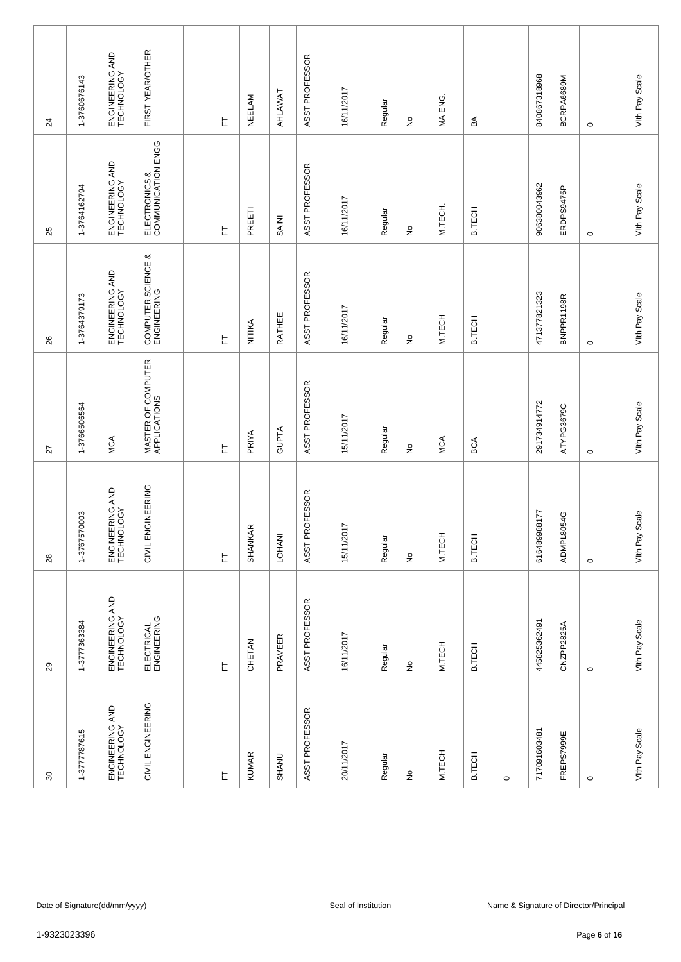| 80                            | 29                            | 28                            | 27                                 | 26                                | 25                                  | $^{24}$                       |
|-------------------------------|-------------------------------|-------------------------------|------------------------------------|-----------------------------------|-------------------------------------|-------------------------------|
| 1-3777787615                  | 1-3777363384                  | 1-3767570003                  | 1-3766506564                       | 1-3764379173                      | 1-3764162794                        | 1-3760676143                  |
| ENGINEERING AND<br>TECHNOLOGY | ENGINEERING AND<br>TECHNOLOGY | ENGINEERING AND<br>TECHNOLOGY | <b>MCA</b>                         | ENGINEERING AND<br>TECHNOLOGY     | ENGINEERING AND<br>TECHNOLOGY       | ENGINEERING AND<br>TECHNOLOGY |
| CIVIL ENGINEERING             | ELECTRICAL<br>ENGINEERING     | CIVIL ENGINEERING             | MASTER OF COMPUTER<br>APPLICATIONS | COMPUTER SCIENCE &<br>ENGINEERING | ELECTRONICS &<br>COMMUNICATION ENGG | FIRST YEAR/OTHER              |
|                               |                               |                               |                                    |                                   |                                     |                               |
| $\overline{\mathbb{L}}$       | 上                             | 岀                             | 匸                                  | 匸                                 | 눈                                   | 上                             |
| <b>KUMAR</b>                  | CHETAN                        | $\propto$<br>SHANKAF          | PRIYA                              | NITIKA                            | PREETI                              | NEELAM                        |
| <b>SHANU</b>                  | PRAVEER                       | LOHANI                        | <b>GUPTA</b>                       | RATHEE                            | <b>BAINI</b>                        | AHLAWAT                       |
| ASST PROFESSOR                | ASST PROFESSOR                | ASST PROFESSOR                | ASST PROFESSOR                     | ASST PROFESSOR                    | ASST PROFESSOR                      | ASST PROFESSOR                |
| 20/11/2017                    | 16/11/2017                    | 15/11/2017                    | 15/11/2017                         | 16/11/2017                        | 16/11/2017                          | 16/11/2017                    |
| Regular                       | Regular                       | Regular                       | Regular                            | Regular                           | Regular                             | Regular                       |
| $\frac{\circ}{\sim}$          | $\hat{\mathsf{z}}$            | $\stackrel{\mathtt{o}}{z}$    | ş                                  | ş                                 | $\stackrel{\mathtt{o}}{z}$          | $\frac{\circ}{\sim}$          |
| M.TECH                        | M.TECH                        | M.TECH                        | <b>MCA</b>                         | M.TECH                            | M.TECH.                             | MA ENG.                       |
| <b>B.TECH</b>                 | B.TECH                        | B.TECH                        | BCA                                | B.TECH                            | B.TECH                              | a≤                            |
| $\circ$                       |                               |                               |                                    |                                   |                                     |                               |
| 717091603481                  | 445825362491                  | 616489988177                  | 291734914772                       | 471377821323                      | 906380043962                        | 840867318968                  |
| FREPS7999E                    | CNZPP2825A                    | ADMPL8054G                    | ATYPG3679C                         | BNPPR1198R                        | ERDPS9475P                          | BCRPA6689M                    |
| $\circ$                       | $\circ$                       | $\circ$                       | $\circ$                            | $\circ$                           | $\circ$                             | $\circ$                       |
| Vith Pay Scale                | Vith Pay Scale                | Scale<br>Vith Pay:            | Vith Pay Scale                     | Vith Pay Scale                    | Vith Pay Scale                      | Vith Pay Scale                |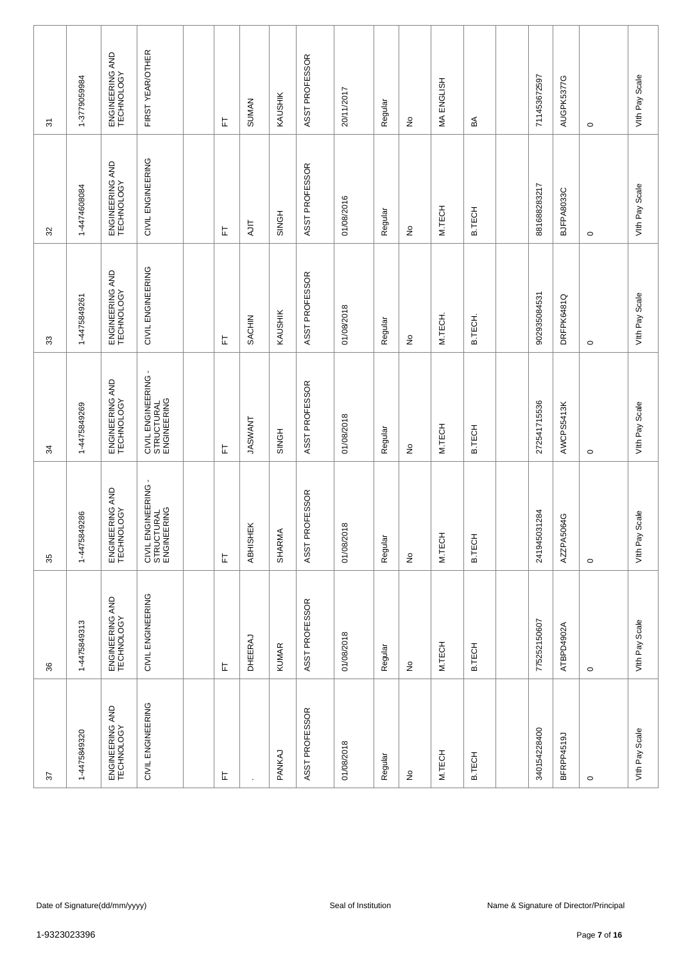| 22                            | 36                              | 35                                               | 34                                               | 33                            | 32                            | $\overline{\mathcal{E}}$      |
|-------------------------------|---------------------------------|--------------------------------------------------|--------------------------------------------------|-------------------------------|-------------------------------|-------------------------------|
| 1-4475849320                  | 1-4475849313                    | 1-4475849286                                     | 1-4475849269                                     | 1-4475849261                  | 1-4474608084                  | 1-3779059984                  |
| ENGINEERING AND<br>TECHNOLOGY | ENGINEERING AND<br>TECHNOLOGY   | ENGINEERING AND<br>TECHNOLOGY                    | ENGINEERING AND<br>TECHNOLOGY                    | ENGINEERING AND<br>TECHNOLOGY | ENGINEERING AND<br>TECHNOLOGY | ENGINEERING AND<br>TECHNOLOGY |
| CIVIL ENGINEERING             | CIVIL ENGINEERING               | CIVIL ENGINEERING -<br>STRUCTURAL<br>ENGINEERING | CIVIL ENGINEERING -<br>STRUCTURAL<br>ENGINEERING | CIVIL ENGINEERING             | CIVIL ENGINEERING             | FIRST YEAR/OTHER              |
|                               |                                 |                                                  |                                                  |                               |                               |                               |
| 匸                             | 匸                               | 눈                                                | 匸                                                | 匸                             | 눈                             | 匸                             |
|                               | <b>DHEERAJ</b>                  | ABHISHEK                                         | <b>TASWANT</b>                                   | SACHIN                        | <b>AJIT</b>                   | <b>SUMAN</b>                  |
| PANKAJ                        | <b>KUMAR</b>                    | <b>SHARMA</b>                                    | SINGH                                            | KAUSHIK                       | SINGH                         | KAUSHIK                       |
| ASST PROFESSOR                | ASST PROFESSOR                  | ASST PROFESSOR                                   | ASST PROFESSOR                                   | ASST PROFESSOR                | ASST PROFESSOR                | ASST PROFESSOR                |
| 01/08/2018                    | 01/08/2018                      | 01/08/2018                                       | 01/08/2018                                       | 01/08/2018                    | 01/08/2016                    | 20/11/2017                    |
| Regular                       | Regular                         | Regular                                          | Regular                                          | Regular                       | Regular                       | Regular                       |
| $\frac{\circ}{\sim}$          | $\frac{\mathsf{O}}{\mathsf{E}}$ | $\stackrel{\mathtt{o}}{z}$                       | $\frac{\mathsf{O}}{\mathsf{E}}$                  | $\stackrel{\circ}{\simeq}$    | $\stackrel{\circ}{\simeq}$    | $\frac{\circ}{\sim}$          |
| M.TECH                        | M.TECH                          | M.TECH                                           | M.TECH                                           | M.TECH.                       | M.TECH                        | MA ENGLISH                    |
| <b>B.TECH</b>                 | B.TECH                          | <b>B.TECH</b>                                    | <b>B.TECH</b>                                    | B.TECH.                       | B.TECH                        | ₹€                            |
|                               |                                 |                                                  |                                                  |                               |                               |                               |
| 340154228400                  | 775252150607                    | 241945031284                                     | 272541715536                                     | 902935084531                  | 881688283217                  | 711453672597                  |
| BFRPP4519J                    | ATBPD4902A                      | AZZPA5064G                                       | AWCPS5413K                                       | DRFPK6481Q                    | BJFPA8033C                    | AUGPK5377G                    |
| $\circ$                       | $\circ$                         | $\circ$                                          | $\circ$                                          | $\circ$                       | $\circ$                       | $\circ$                       |
| Vith Pay Scale                | Vith Pay Scale                  | Scale<br>Vith Pay                                | Vith Pay Scale                                   | Vith Pay Scale                | Vith Pay Scale                | Vith Pay Scale                |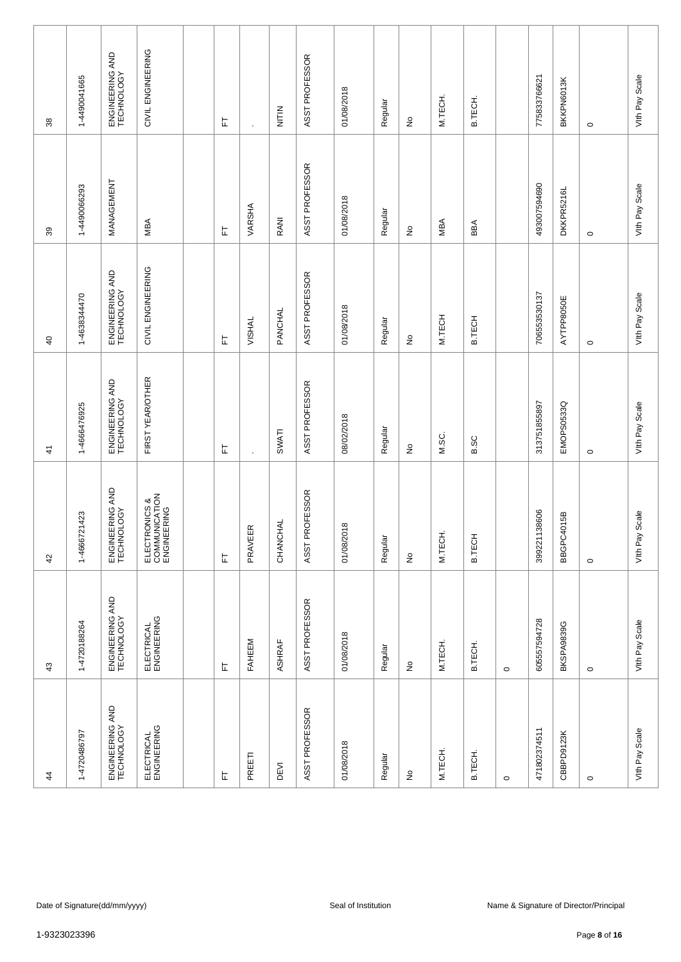| 38             | 1-4490041665 | ENGINEERING AND<br>TECHNOLOGY | CIVIL ENGINEERING                             | 눈 | $\ddot{\phantom{0}}$ | NITIN    | ASST PROFESSOR | 01/08/2018          | Regular | $\frac{\circ}{\sim}$                | M.TECH. | B.TECH.       |         | 775833766621 | BKKPN6013K | $\circ$                                                | Vith Pay Scale    |
|----------------|--------------|-------------------------------|-----------------------------------------------|---|----------------------|----------|----------------|---------------------|---------|-------------------------------------|---------|---------------|---------|--------------|------------|--------------------------------------------------------|-------------------|
| 39             | 1-4490066293 | MANAGEMENT                    | MBA                                           | 는 | VARSHA               | RANI     | ASST PROFESSOR | 01/08/2018          | Regular | $\stackrel{\mathtt{o}}{z}$          | MBA     | BBA           |         | 493007594690 | DKKPR5216L | $\circ$                                                | Vith Pay Scale    |
| $\overline{a}$ | 1-4638344470 | ENGINEERING AND<br>TECHNOLOGY | CIVIL ENGINEERING                             | 匸 | VISHAL               | PANCHAL  | ASST PROFESSOR | 01/08/2018          | Regular | $\stackrel{\mathtt{o}}{\mathsf{z}}$ | M.TECH  | <b>B.TECH</b> |         | 706553530137 | AYTPP8050E | $\circ$                                                | Vith Pay Scale    |
| $\frac{4}{3}$  | 1-4666476925 | ENGINEERING AND<br>TECHNOLOGY | FIRST YEAR/OTHER                              | 匸 | $\blacksquare$       | SWATI    | ASST PROFESSOR | 08/02/2018          | Regular | $\stackrel{\circ}{\simeq}$          | M.SC.   | <b>B.SC</b>   |         | 313751855897 | EMOPS0533Q | $\circ$                                                | Vith Pay Scale    |
| 42             | 1-4666721423 | ENGINEERING AND<br>TECHNOLOGY | ELECTRONICS &<br>COMMUNICATION<br>ENGINEERING | 匸 | $\propto$<br>PRAVEE  | CHANCHAL | ASST PROFESSOR | 01/08/2018          | Regular | $\stackrel{\mathtt{o}}{z}$          | M.TECH. | B.TECH        |         | 399221138606 | BBGPC4015B | $\circ$                                                | Scale<br>Vith Pay |
| 43             | 1-4720188264 | ENGINEERING AND<br>TECHNOLOGY | ELECTRICAL<br>ENGINEERING                     | 匸 | FAHEEM               | ASHRAF   | ASST PROFESSOR | 01/08/2018          | Regular | $\frac{\circ}{\sim}$                | M.TECH. | B.TECH.       | $\circ$ | 605557594728 | BKSPA9839G | $\circ$                                                | Vith Pay Scale    |
| $\frac{4}{3}$  | 1-4720486797 | ENGINEERING AND<br>TECHNOLOGY | ELECTRICAL<br>ENGINEERING                     | 匸 | PREETI               | DEVI     | ASST PROFESSOR | 01/08/2018          | Regular | $\frac{\circ}{\sim}$                | M.TECH. | B.TECH.       | $\circ$ | 471802374511 | CBBPD9123K | $\circ$                                                | Vith Pay Scale    |
|                |              |                               |                                               |   |                      |          |                |                     |         |                                     |         |               |         |              |            |                                                        |                   |
| 1-9323023396   |              | Date of Signature(dd/mm/yyyy) |                                               |   |                      |          |                | Seal of Institution |         |                                     |         |               |         |              |            | Name & Signature of Director/Principal<br>Page 8 of 16 |                   |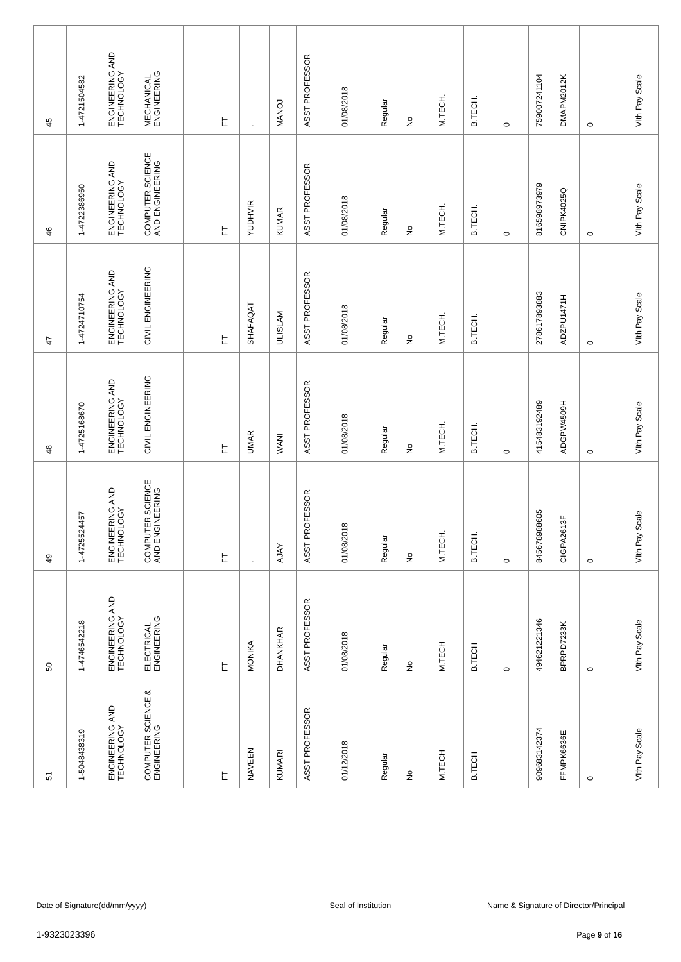| 5                                 | SO                            | $\overline{49}$                     | $\frac{8}{3}$                 | $\ddot{+}$                    | 46                                  | 45                               |
|-----------------------------------|-------------------------------|-------------------------------------|-------------------------------|-------------------------------|-------------------------------------|----------------------------------|
| 1-5048438319                      | 1-4746542218                  | 1-4725524457                        | 1-4725168670                  | 1-4724710754                  | 1-4722386950                        | 1-4721504582                     |
| ENGINEERING AND<br>TECHNOLOGY     | ENGINEERING AND<br>TECHNOLOGY | ENGINEERING AND<br>TECHNOLOGY       | ENGINEERING AND<br>TECHNOLOGY | ENGINEERING AND<br>TECHNOLOGY | ENGINEERING AND<br>TECHNOLOGY       | ENGINEERING AND<br>TECHNOLOGY    |
| COMPUTER SCIENCE &<br>ENGINEERING | ELECTRICAL<br>ENGINEERING     | COMPUTER SCIENCE<br>AND ENGINEERING | CIVIL ENGINEERING             | CIVIL ENGINEERING             | COMPUTER SCIENCE<br>AND ENGINEERING | <b>MECHANICAL</b><br>ENGINEERING |
|                                   |                               |                                     |                               |                               |                                     |                                  |
| 上                                 | 上                             | 岀                                   | 匸                             | 匸                             | 岀                                   | 匠                                |
| NAVEEN                            | MONIKA                        | $\cdot$                             | <b>UMAR</b>                   | SHAFAQAT                      | YUDHVIR                             |                                  |
| <b>KUMARI</b>                     | DHANKHAR                      | <b>AJAY</b>                         | <b>WANI</b>                   | <b>ULISLAM</b>                | <b>KUMAR</b>                        | <b>MANOJ</b>                     |
| ASST PROFESSOR                    | ASST PROFESSOR                | ASST PROFESSOR                      | ASST PROFESSOR                | ASST PROFESSOR                | ASST PROFESSOR                      | ASST PROFESSOR                   |
| 01/12/2018                        | 01/08/2018                    | 01/08/2018                          | 01/08/2018                    | 01/08/2018                    | 01/08/2018                          | 01/08/2018                       |
| Regular                           | Regular                       | Regular                             | Regular                       | Regular                       | Regular                             | Regular                          |
| £                                 | ş                             | ş                                   | ş                             | $\hat{\mathsf{z}}$            | $\stackrel{\mathtt{o}}{z}$          | $\frac{\circ}{\sim}$             |
| M.TECH                            | M.TECH                        | M.TECH.                             | M.TECH.                       | M.TECH.                       | M.TECH.                             | M.TECH.                          |
| <b>B.TECH</b>                     | B.TECH                        | <b>B.TECH</b>                       | B.TECH                        | B.TECH.                       | B.TECH.                             | B.TECH.                          |
|                                   | $\circ$                       | $\circ$                             | $\circ$                       |                               | $\circ$                             | $\circ$                          |
| 909683142374                      | 494621221346                  | 845678988605                        | 415483192489                  | 278617893883                  | 816598973979                        | 759007241104                     |
| FFMPK6636E                        | BPRPD7233K                    | 613F<br>CIGPA26                     | ADGPW4509H                    | ADZPU1471H                    | CNIPK4025Q                          | DMAPM2012K                       |
| $\circ$                           | $\circ$                       | $\circ$                             | $\circ$                       | $\circ$                       | $\circ$                             | $\circ$                          |
| Vith Pay Scale                    | Vith Pay Scale                | Scale<br>Vith Pay                   | Vith Pay Scale                | Vith Pay Scale                | Vith Pay Scale                      | Vith Pay Scale                   |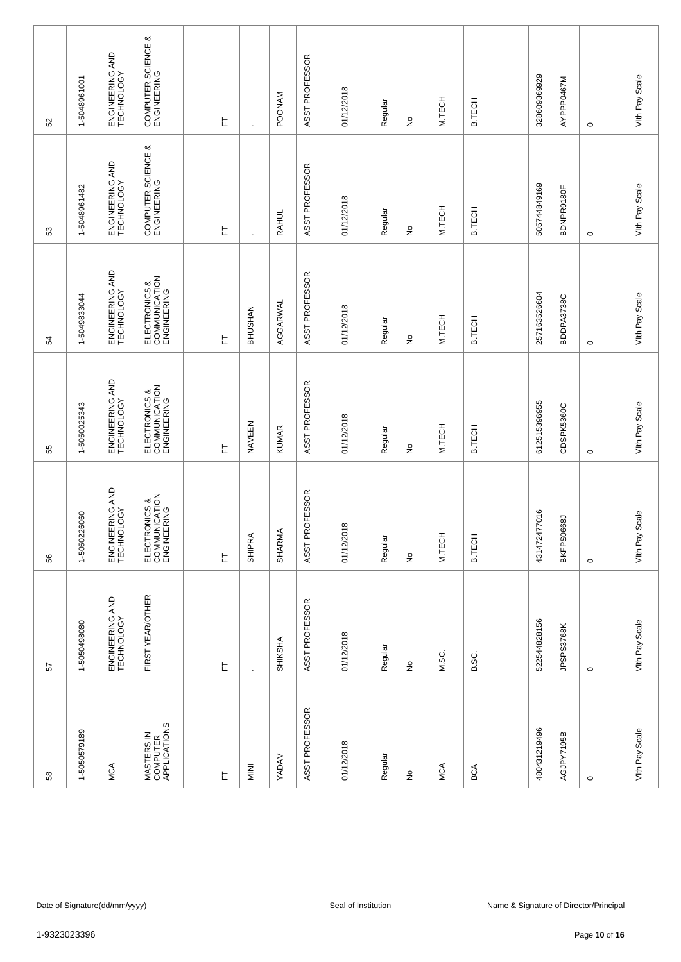| 52           | 1-5048961001                                                                                   | ENGINEERING AND<br>TECHNOLOGY | COMPUTER SCIENCE &<br>ENGINEERING             |               | 匠 |               | <b>POONAM</b> | ASST PROFESSOR | 01/12/2018 | Regular | $\frac{\circ}{\sim}$            | M.TECH | <b>B.TECH</b> |  | 328609369929 | AYPPP0467M | $\circ$ | Vith Pay Scale    |
|--------------|------------------------------------------------------------------------------------------------|-------------------------------|-----------------------------------------------|---------------|---|---------------|---------------|----------------|------------|---------|---------------------------------|--------|---------------|--|--------------|------------|---------|-------------------|
| 53           | 1-5048961482                                                                                   | ENGINEERING AND<br>TECHNOLOGY | ಹ<br>COMPUTER SCIENCE<br>ENGINEERING          |               | 눈 |               | <b>RAHUL</b>  | ASST PROFESSOR | 01/12/2018 | Regular | ş                               | M.TECH | B.TECH        |  | 505744849169 | BDNPR9180F | $\circ$ | Vith Pay Scale    |
| 54           | 1-5049833044                                                                                   | ENGINEERING AND<br>TECHNOLOGY | ELECTRONICS &<br>COMMUNICATION<br>ENGINEERING |               | 匸 | BHUSHAN       | AGGARWAL      | ASST PROFESSOR | 01/12/2018 | Regular | ş                               | M.TECH | B.TECH        |  | 257163526604 | BDDPA3738C | $\circ$ | Vith Pay Scale    |
| 55           | 1-5050025343                                                                                   | ENGINEERING AND<br>TECHNOLOGY | ELECTRONICS &<br>COMMUNICATION<br>ENGINEERING |               | 匸 | NAVEEN        | <b>KUMAR</b>  | ASST PROFESSOR | 01/12/2018 | Regular | $\frac{\mathsf{O}}{\mathsf{D}}$ | M.TECH | <b>B.TECH</b> |  | 612515396955 | CDSPK5360C | $\circ$ | Vith Pay Scale    |
| 56           | 1-5050226060                                                                                   | ENGINEERING AND<br>TECHNOLOGY | ELECTRONICS &<br>COMMUNICATION<br>ENGINEERING |               | 岀 | <b>SHIPRA</b> | SHARMA        | ASST PROFESSOR | 01/12/2018 | Regular | $\stackrel{\mathtt{o}}{z}$      | M.TECH | B.TECH        |  | 431472477016 | BKFPS0668J | $\circ$ | Scale<br>VIth Pay |
| 57           | 1-5050498080                                                                                   | ENGINEERING AND<br>TECHNOLOGY | FIRST YEAR/OTHER                              |               | 上 |               | SHIKSHA       | ASST PROFESSOR | 01/12/2018 | Regular | $\frac{\circ}{\sim}$            | M.SC.  | B.SC.         |  | 522544828156 | JPSPS3768K | $\circ$ | Vith Pay Scale    |
| 58           | 1-5050579189                                                                                   | <b>MCA</b>                    | MASTERS IN<br>COMPUTER<br>APPLICATIONS        |               | 上 | <b>MINI</b>   | <b>YADAV</b>  | ASST PROFESSOR | 01/12/2018 | Regular | $\frac{\circ}{\sim}$            | MCA    | BCA           |  | 480431219496 | AGJPY7195B | $\circ$ | Vith Pay Scale    |
|              |                                                                                                |                               |                                               |               |   |               |               |                |            |         |                                 |        |               |  |              |            |         |                   |
|              | Date of Signature(dd/mm/yyyy)<br>Seal of Institution<br>Name & Signature of Director/Principal |                               |                                               |               |   |               |               |                |            |         |                                 |        |               |  |              |            |         |                   |
| 1-9323023396 |                                                                                                |                               |                                               | Page 10 of 16 |   |               |               |                |            |         |                                 |        |               |  |              |            |         |                   |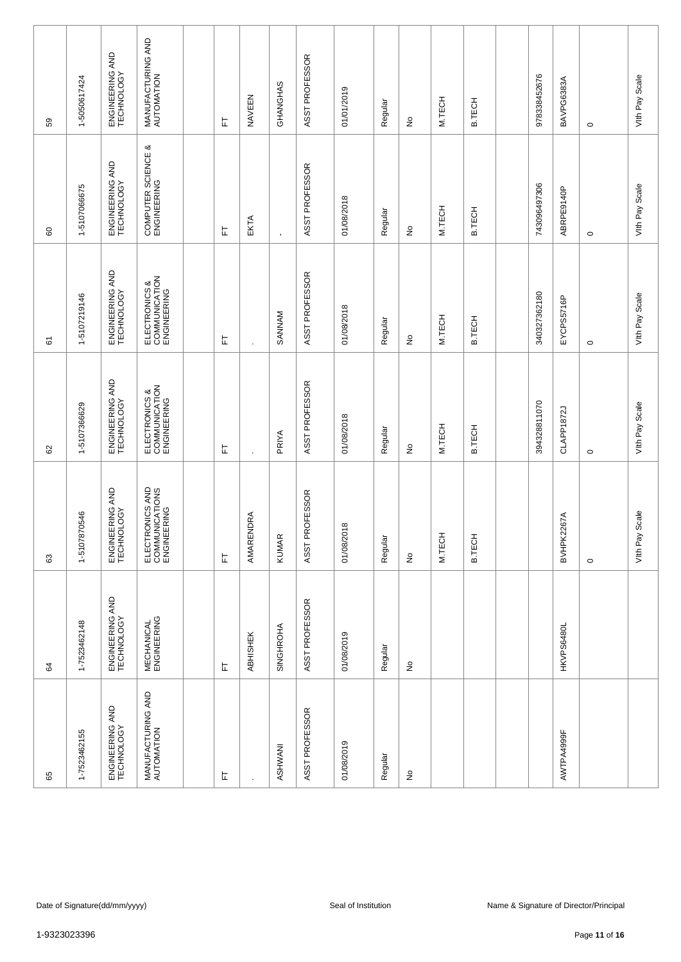| 59           | 1-5050617424 | ENGINEERING AND<br>TECHNOLOGY | MANUFACTURING AND<br>AUTOMATION                  | ᄂ | NAVEEN    | GHANGHAS     | ASST PROFESSOR | 01/01/2019          | Regular | ş                          | M.TECH | <b>B.TECH</b> | 978338452676 | BAVPG6383A | $\circ$                                | Vith Pay Scale     |
|--------------|--------------|-------------------------------|--------------------------------------------------|---|-----------|--------------|----------------|---------------------|---------|----------------------------|--------|---------------|--------------|------------|----------------------------------------|--------------------|
| 60           | 1-5107066675 | ENGINEERING AND<br>TECHNOLOGY | COMPUTER SCIENCE &<br>ENGINEERING                | 는 | EKTA      |              | ASST PROFESSOR | 01/08/2018          | Regular | ş                          | M.TECH | B.TECH        | 743096497306 | ABRPE9140P | $\circ$                                | Vith Pay Scale     |
| 61           | 1-5107219146 | ENGINEERING AND<br>TECHNOLOGY | ELECTRONICS &<br>COMMUNICATION<br>ENGINEERING    | 눈 | $\cdot$   | SANNAM       | ASST PROFESSOR | 01/08/2018          | Regular | $\frac{1}{2}$              | M.TECH | B.TECH        | 340327362180 | EYCPS5716P | $\circ$                                | Vith Pay Scale     |
| 8            | 1-5107366629 | ENGINEERING AND<br>TECHNOLOGY | ELECTRONICS &<br>COMMUNICATION<br>ENGINEERING    | 匸 | $\cdot$   | PRIYA        | ASST PROFESSOR | 01/08/2018          | Regular | $\stackrel{\circ}{\simeq}$ | M.TECH | <b>B.TECH</b> | 394328811070 | CLAPP1872J | $\circ$                                | Vith Pay Scale     |
| 63           | 1-5107870546 | ENGINEERING AND<br>TECHNOLOGY | ELECTRONICS AND<br>COMMUNICATIONS<br>ENGINEERING | 上 | AMARENDRA | <b>KUMAR</b> | ASST PROFESSOR | 01/08/2018          | Regular | ş                          | M.TECH | <b>B.TECH</b> |              | BVHPK2267A | $\circ$                                | Scale<br>Vith Pay! |
| 64           | 1-7523462148 | ENGINEERING AND<br>TECHNOLOGY | <b>MECHANICAL</b><br>ENGINEERING                 | 上 | ABHISHEK  | SINGHROHA    | ASST PROFESSOR | 01/08/2019          | Regular | ş                          |        |               |              | HKVPS6480L |                                        |                    |
| 65           | 1-7523462155 | ENGINEERING AND<br>TECHNOLOGY | MANUFACTURING AND<br>AUTOMATION                  | 上 |           | ASHWANI      | ASST PROFESSOR | 01/08/2019          | Regular | £                          |        |               |              | AWTPA4999F |                                        |                    |
|              |              |                               |                                                  |   |           |              |                |                     |         |                            |        |               |              |            |                                        |                    |
|              |              | Date of Signature(dd/mm/yyyy) |                                                  |   |           |              |                | Seal of Institution |         |                            |        |               |              |            | Name & Signature of Director/Principal |                    |
| 1-9323023396 |              |                               |                                                  |   |           |              |                |                     |         |                            |        |               |              |            | Page 11 of 16                          |                    |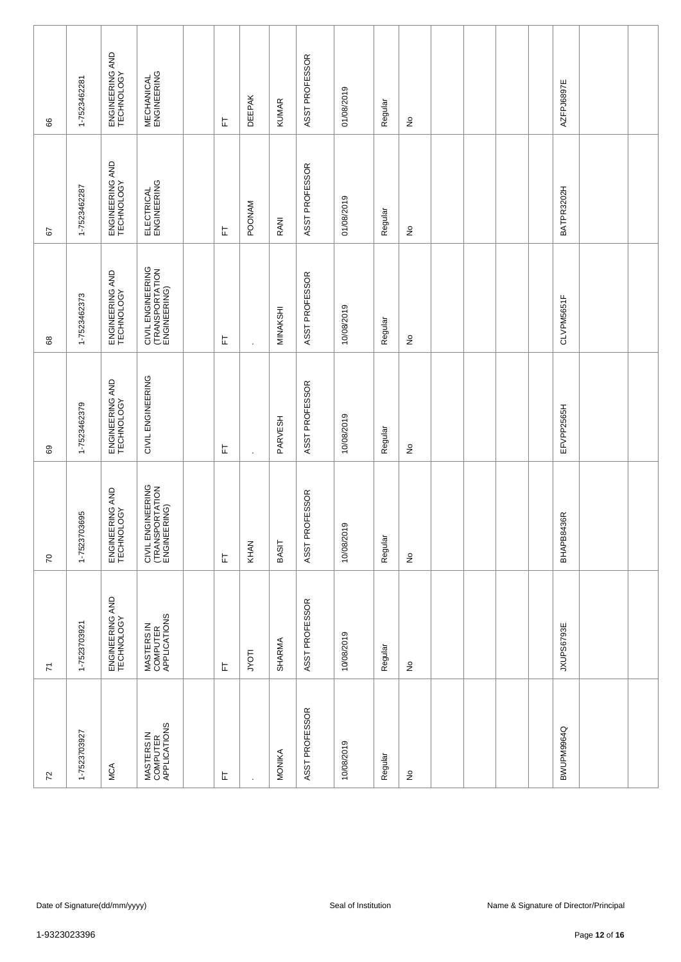| 8                       | 1-7523462281                                                                                   | ENGINEERING AND<br>TECHNOLOGY | <b>MECHANICAL</b><br>ENGINEERING                     |  | 匸 | <b>DEEPAK</b> | <b>KUMAR</b> | ASST PROFESSOR | 01/08/2019 | Regular | $\frac{\circ}{\sim}$       |  |  |  | AZFPJ6897E |               |  |
|-------------------------|------------------------------------------------------------------------------------------------|-------------------------------|------------------------------------------------------|--|---|---------------|--------------|----------------|------------|---------|----------------------------|--|--|--|------------|---------------|--|
| 57                      | 1-7523462287                                                                                   | ENGINEERING AND<br>TECHNOLOGY | ELECTRICAL<br>ENGINEERING                            |  | 匸 | <b>POONAM</b> | RANI         | ASST PROFESSOR | 01/08/2019 | Regular | $\stackrel{\mathtt{o}}{z}$ |  |  |  | BATPR3202H |               |  |
| 89                      | 1-7523462373                                                                                   | ENGINEERING AND<br>TECHNOLOGY | CIVIL ENGINEERING<br>(TRANSPORTATION<br>ENGINEERING) |  | 匠 | $\cdot$       | MINAKSHI     | ASST PROFESSOR | 10/08/2019 | Regular | $\stackrel{\mathtt{o}}{z}$ |  |  |  | CLVPM5651F |               |  |
| 69                      | 1-7523462379                                                                                   | ENGINEERING AND<br>TECHNOLOGY | CIVIL ENGINEERING                                    |  | 上 | $\cdot$       | PARVESH      | ASST PROFESSOR | 10/08/2019 | Regular | $\frac{\circ}{\sim}$       |  |  |  | EFVPP2565H |               |  |
| $\sqrt{2}$              | 1-7523703695                                                                                   | ENGINEERING AND<br>TECHNOLOGY | CIVIL ENGINEERING<br>(TRANSPORTATION<br>ENGINEERING) |  | 岀 | KHAN          | <b>BASIT</b> | ASST PROFESSOR | 10/08/2019 | Regular | $\stackrel{\mathtt{o}}{z}$ |  |  |  | BHAPB8436R |               |  |
| $\overline{\mathbf{r}}$ | 1-7523703921                                                                                   | ENGINEERING AND<br>TECHNOLOGY | MASTERS IN<br>COMPUTER<br>APPLICATIONS               |  | 上 | JYOTI         | SHARMA       | ASST PROFESSOR | 10/08/2019 | Regular | $\frac{\circ}{\sim}$       |  |  |  | JXUPS6793E |               |  |
| $\overline{r}$          | 1-7523703927                                                                                   | <b>MCA</b>                    | MASTERS IN<br>COMPUTER<br>APPLICATIONS               |  | 上 |               | MONIKA       | ASST PROFESSOR | 10/08/2019 | Regular | $\frac{\circ}{\sim}$       |  |  |  | BWUPM9964Q |               |  |
|                         |                                                                                                |                               |                                                      |  |   |               |              |                |            |         |                            |  |  |  |            |               |  |
|                         | Name & Signature of Director/Principal<br>Date of Signature(dd/mm/yyyy)<br>Seal of Institution |                               |                                                      |  |   |               |              |                |            |         |                            |  |  |  |            |               |  |
| 1-9323023396            |                                                                                                |                               |                                                      |  |   |               |              |                |            |         |                            |  |  |  |            | Page 12 of 16 |  |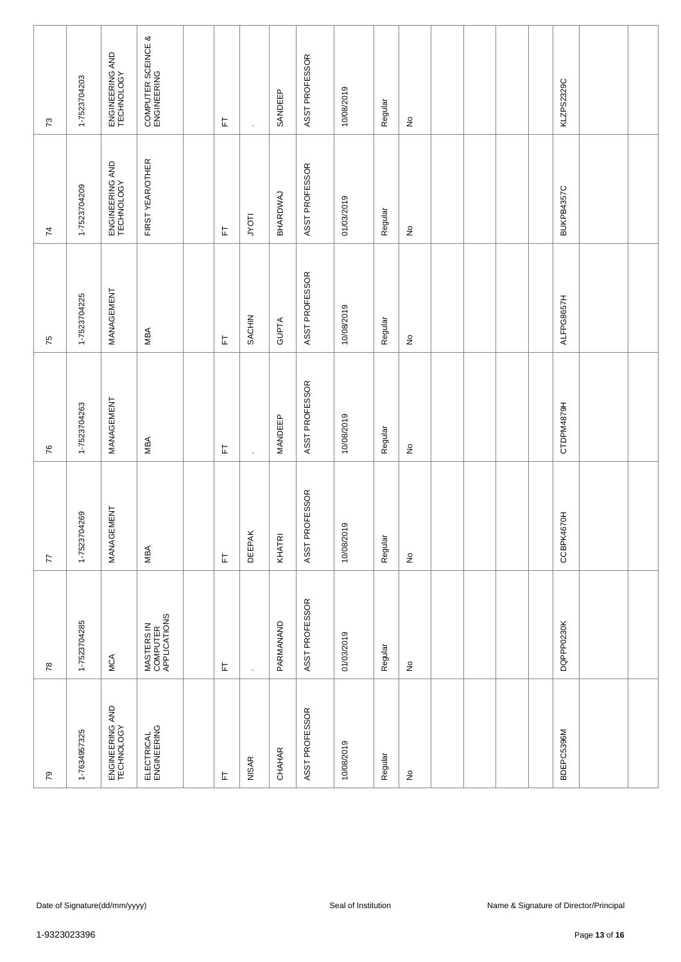| $\mathcal{L}$   | 1-7523704203                                                                                                                    | ENGINEERING AND<br>TECHNOLOGY | COMPUTER SCEINCE &<br>ENGINEERING      |  | 匸 | $\overline{\phantom{a}}$ | SANDEEP        | ASST PROFESSOR | 10/08/2019 | Regular | $\frac{\circ}{\mathsf{Z}}$          |  |  |  | KLZPS2329C |  |
|-----------------|---------------------------------------------------------------------------------------------------------------------------------|-------------------------------|----------------------------------------|--|---|--------------------------|----------------|----------------|------------|---------|-------------------------------------|--|--|--|------------|--|
| 74              | 1-7523704209                                                                                                                    | ENGINEERING AND<br>TECHNOLOGY | FIRST YEAR/OTHER                       |  | 匸 | <b>ILOAT</b>             | BHARDWAJ       | ASST PROFESSOR | 01/03/2019 | Regular | $\stackrel{\mathtt{o}}{\mathsf{z}}$ |  |  |  | BUKPB4357C |  |
| 75              | 1-7523704225                                                                                                                    | MANAGEMENT                    | MBA                                    |  | 匸 | SACHIN                   | GUPTA          | ASST PROFESSOR | 10/08/2019 | Regular | $\stackrel{\mathtt{o}}{\mathsf{z}}$ |  |  |  | ALFPG8657H |  |
| 76              | 1-7523704263                                                                                                                    | MANAGEMENT                    | MBA                                    |  | 匸 | $\cdot$                  | <b>MANDEEP</b> | ASST PROFESSOR | 10/08/2019 | Regular | $\stackrel{\circ}{\succeq}$         |  |  |  | CTDPM4879H |  |
| 77              | 1-7523704269                                                                                                                    | MANAGEMENT                    | MBA                                    |  | 匸 | <b>DEEPAK</b>            | KHATRI         | ASST PROFESSOR | 10/08/2019 | Regular | $\stackrel{\mathtt{o}}{z}$          |  |  |  | CCBPK4670H |  |
| 78              | 1-7523704285                                                                                                                    | MCA                           | MASTERS IN<br>COMPUTER<br>APPLICATIONS |  | 匸 | $\ddot{\phantom{a}}$     | PARMANAND      | ASST PROFESSOR | 01/03/2019 | Regular | $\frac{\circ}{\sim}$                |  |  |  | DQPPP0230K |  |
| $\overline{7}9$ | 1-7634957325                                                                                                                    | ENGINEERING AND<br>TECHNOLOGY | ELECTRICAL<br>ENGINEERING              |  | 匸 | <b>NISAR</b>             | CHAHAR         | ASST PROFESSOR | 10/08/2019 | Regular | $\frac{\circ}{\sim}$                |  |  |  | BDEPC5396M |  |
|                 |                                                                                                                                 |                               |                                        |  |   |                          |                |                |            |         |                                     |  |  |  |            |  |
|                 | Date of Signature(dd/mm/yyyy)<br>Seal of Institution<br>Name & Signature of Director/Principal<br>1-9323023396<br>Page 13 of 16 |                               |                                        |  |   |                          |                |                |            |         |                                     |  |  |  |            |  |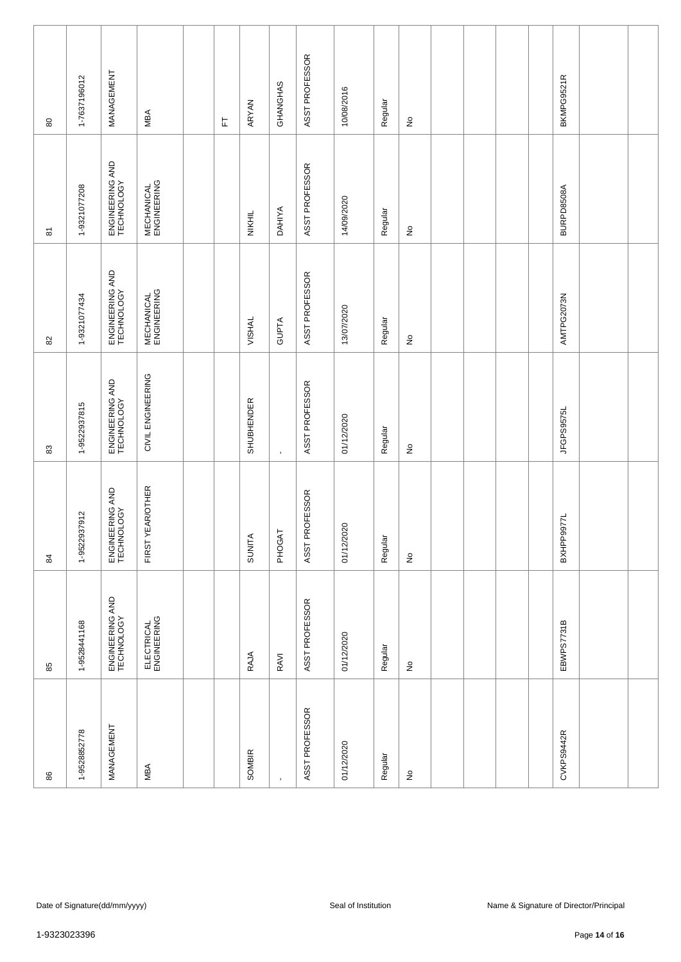| $\rm 80$                  | 1-7637196012                                                                                   | MANAGEMENT                    | MBA                              |  | 匸 | ARYAN         | GHANGHAS       | ASST PROFESSOR | 10/08/2016 | Regular | $\hat{z}$                           |  |  |  | BKMPG9521R        |  |
|---------------------------|------------------------------------------------------------------------------------------------|-------------------------------|----------------------------------|--|---|---------------|----------------|----------------|------------|---------|-------------------------------------|--|--|--|-------------------|--|
| $\overline{\mathbf{6}}$   | 1-9321077208                                                                                   | ENGINEERING AND<br>TECHNOLOGY | <b>MECHANICAL</b><br>ENGINEERING |  |   | NIKHIL        | <b>DAHIYA</b>  | ASST PROFESSOR | 14/09/2020 | Regular | $\stackrel{\mathtt{o}}{\mathsf{z}}$ |  |  |  | <b>BURPD8508A</b> |  |
| $\rm 82$                  | 1-9321077434                                                                                   | ENGINEERING AND<br>TECHNOLOGY | <b>MECHANICAL</b><br>ENGINEERING |  |   | VISHAL        | <b>GUPTA</b>   | ASST PROFESSOR | 13/07/2020 | Regular | $\stackrel{\mathtt{o}}{z}$          |  |  |  | AMTPG2073N        |  |
| $\boldsymbol{\mathbb{S}}$ | 1-9522937815                                                                                   | ENGINEERING AND<br>TECHNOLOGY | CIVIL ENGINEERING                |  |   | SHUBHENDER    | $\blacksquare$ | ASST PROFESSOR | 01/12/2020 | Regular | $\hat{z}$                           |  |  |  | JFGPS9575L        |  |
| 84                        | 1-9522937912                                                                                   | ENGINEERING AND<br>TECHNOLOGY | FIRST YEAR/OTHER                 |  |   | <b>SUNITA</b> | PHOGAT         | ASST PROFESSOR | 01/12/2020 | Regular | $\stackrel{\mathtt{o}}{z}$          |  |  |  | BXHPP9977L        |  |
| 85                        | 1-9528441168                                                                                   | ENGINEERING AND<br>TECHNOLOGY | ELECTRICAL<br>ENGINEERING        |  |   | RAJA          | RAVI           | ASST PROFESSOR | 01/12/2020 | Regular | $\hat{z}$                           |  |  |  | EBWPS7731B        |  |
| 86                        | 1-9528852778                                                                                   | MANAGEMENT                    | MBA                              |  |   | SOMBIR        |                | ASST PROFESSOR | 01/12/2020 | Regular | $\frac{\circ}{\sim}$                |  |  |  | CVKPS9442R        |  |
|                           |                                                                                                |                               |                                  |  |   |               |                |                |            |         |                                     |  |  |  |                   |  |
|                           | Date of Signature(dd/mm/yyyy)<br>Name & Signature of Director/Principal<br>Seal of Institution |                               |                                  |  |   |               |                |                |            |         |                                     |  |  |  |                   |  |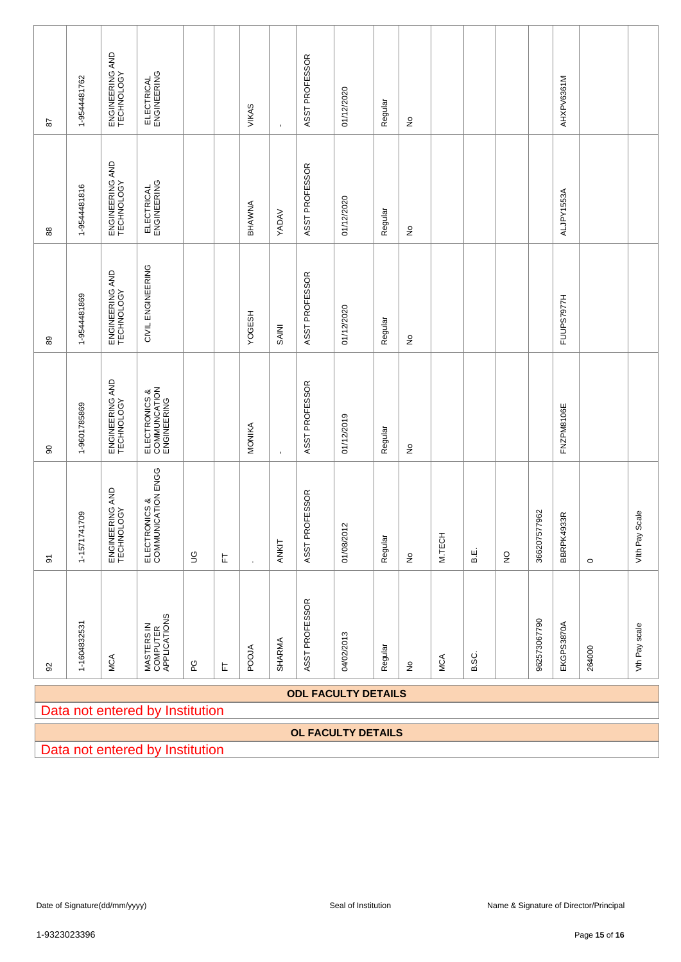| 29                      | 1-9544481762                                         | ENGINEERING AND<br>TECHNOLOGY | ELECTRICAL<br>ENGINEERING                    |             |   | VIKAS                                                   |                | ASST PROFESSOR | 01/12/2020                 | Regular | $\frac{\circ}{\sim}$            |        |         |              |              | AHXPV6361M |         |                   |
|-------------------------|------------------------------------------------------|-------------------------------|----------------------------------------------|-------------|---|---------------------------------------------------------|----------------|----------------|----------------------------|---------|---------------------------------|--------|---------|--------------|--------------|------------|---------|-------------------|
| $_{88}$                 | 1-9544481816                                         | ENGINEERING AND<br>TECHNOLOGY | ELECTRICAL<br>ENGINEERING                    |             |   | BHAWNA                                                  | <b>YADAV</b>   | ASST PROFESSOR | 01/12/2020                 | Regular | $\stackrel{\mathtt{o}}{z}$      |        |         |              |              | ALJPY1553A |         |                   |
| 89                      | 1-9544481869                                         | ENGINEERING AND<br>TECHNOLOGY | CIVIL ENGINEERING                            |             |   | <b>YOGESH</b>                                           | <b>SAINI</b>   | ASST PROFESSOR | 01/12/2020                 | Regular | $\stackrel{\mathtt{o}}{z}$      |        |         |              |              | FUUPS7977H |         |                   |
| 8                       | 1-9601785869                                         | ENGINEERING AND<br>TECHNOLOGY | ELECTRONICS &<br>COMMUNCATION<br>ENGINEERING |             |   | MONIKA                                                  | $\blacksquare$ | ASST PROFESSOR | 01/12/2019                 | Regular | ş                               |        |         |              |              | FNZPM8106E |         |                   |
| $\overline{\mathbf{5}}$ | 1-1571741709                                         | ENGINEERING AND<br>TECHNOLOGY | ELECTRONICS &<br>COMMUNICATION ENGG          | $\mathbb S$ | 岀 |                                                         | ANKIT          | ASST PROFESSOR | 01/08/2012                 | Regular | $\stackrel{\mathtt{o}}{z}$      | M.TECH | Е.<br>В | $\mathsf{S}$ | 366207577962 | BBRPK4933R | $\circ$ | Scale<br>Vith Pay |
| $\Omega$                | 1-1604832531                                         | MCA                           | MASTERS IN<br>COMPUTER<br>APPLICATIONS       | ဥ           | 匸 | <b>POOJA</b>                                            | SHARMA         | ASST PROFESSOR | 04/02/2013                 | Regular | $\frac{\mathsf{O}}{\mathsf{D}}$ | MCA    | B.SC.   |              | 962573067790 | EKGPS3870A | 264000  | Vth Pay scale     |
|                         |                                                      |                               | Data not entered by Institution              |             |   |                                                         |                |                | <b>ODL FACULTY DETAILS</b> |         |                                 |        |         |              |              |            |         |                   |
|                         |                                                      |                               | Data not entered by Institution              |             |   |                                                         |                |                | OL FACULTY DETAILS         |         |                                 |        |         |              |              |            |         |                   |
|                         |                                                      |                               |                                              |             |   |                                                         |                |                |                            |         |                                 |        |         |              |              |            |         |                   |
|                         |                                                      |                               |                                              |             |   |                                                         |                |                |                            |         |                                 |        |         |              |              |            |         |                   |
|                         |                                                      |                               |                                              |             |   |                                                         |                |                |                            |         |                                 |        |         |              |              |            |         |                   |
|                         | Seal of Institution<br>Date of Signature(dd/mm/yyyy) |                               |                                              |             |   |                                                         |                |                |                            |         |                                 |        |         |              |              |            |         |                   |
| 1-9323023396            |                                                      |                               |                                              |             |   | Name & Signature of Director/Principal<br>Page 15 of 16 |                |                |                            |         |                                 |        |         |              |              |            |         |                   |